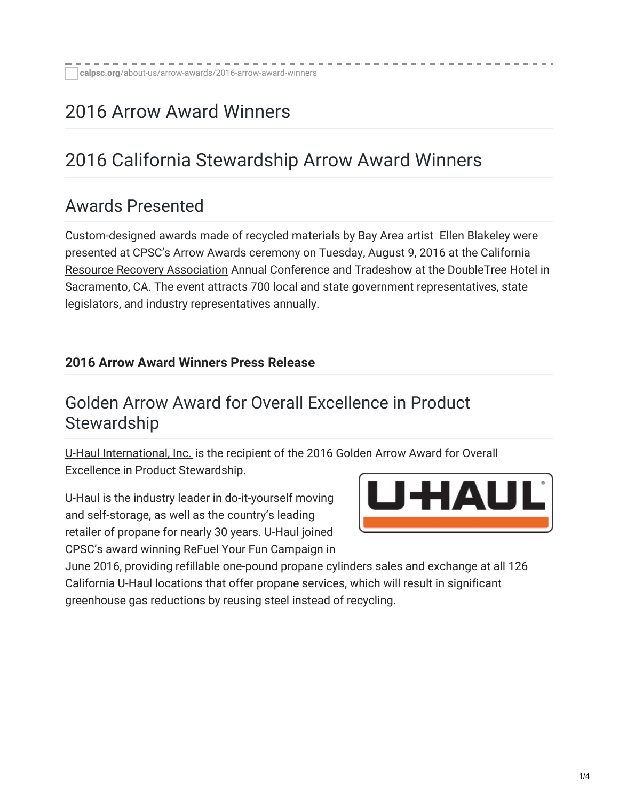# 2016 Arrow Award Winners

# 2016 California Stewardship Arrow Award Winners

### Awards Presented

Custom-designed awards made of recycled materials by Bay Area artist Ellen [Blakeley](http://www.ellenblakeley.com/) were presented at CPSC's Arrow Awards ceremony on Tuesday, August 9, 2016 at the California Resource Recovery [Association](http://www.crra.us/) Annual Conference and Tradeshow at the DoubleTree Hotel in Sacramento, CA. The event attracts 700 local and state government representatives, state legislators, and industry representatives annually.

#### **2016 Arrow Award [Winners](https://calpsc.org/mobius/cpsc-content/uploads/2016/08/2016-Arrow-Awards-Final-Press-Release.pdf) Press Release**

#### Golden Arrow Award for Overall Excellence in Product **Stewardship**

U-Haul [International,](https://www.uhaul.com/) Inc. is the recipient of the 2016 Golden Arrow Award for Overall Excellence in Product Stewardship.

U-Haul is the industry leader in do-it-yourself moving and self-storage, as well as the country's leading retailer of propane for nearly 30 years. U-Haul joined CPSC's award winning ReFuel Your Fun Campaign in



June 2016, providing refillable one-pound propane cylinders sales and exchange at all 126 California U-Haul locations that offer propane services, which will result in significant greenhouse gas reductions by reusing steel instead of recycling.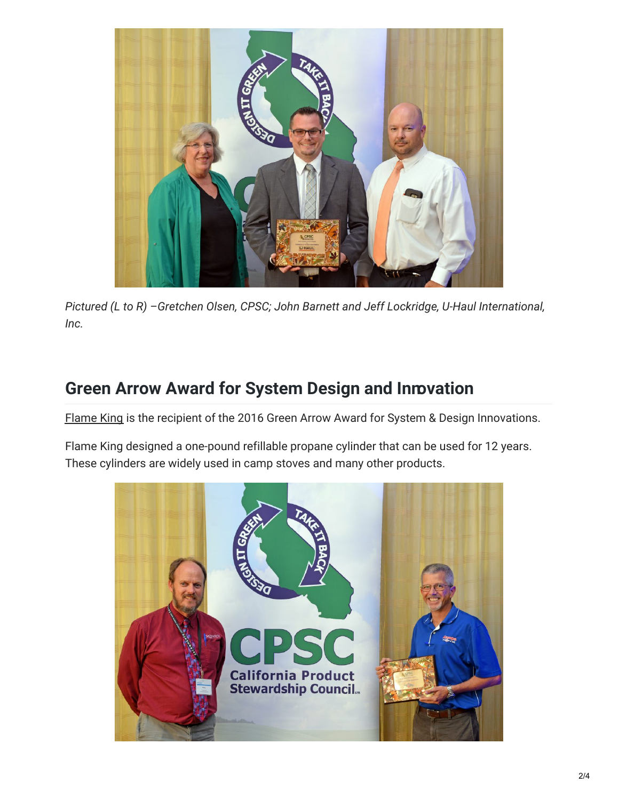

*Pictured (L to R) –Gretchen Olsen, CPSC; John Barnett and Jeff Lockridge, U-Haul International, Inc.*

# **Green Arrow Award for System Design and Innovation**

[Flame](http://www.flameking.com/) King is the recipient of the 2016 Green Arrow Award for System & Design Innovations.

Flame King designed a one-pound refillable propane cylinder that can be used for 12 years. These cylinders are widely used in camp stoves and many other products.

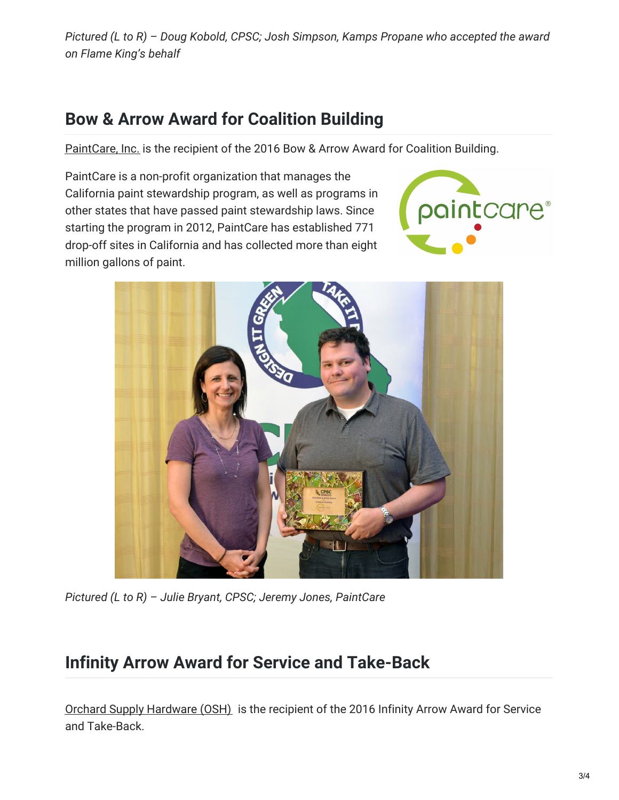*Pictured (L to R) – Doug Kobold, CPSC; Josh Simpson, Kamps Propane who accepted the award on Flame King's behalf*

# **Bow & Arrow Award for Coalition Building**

[PaintCare,](http://www.paintcare.org/) Inc. is the recipient of the 2016 Bow & Arrow Award for Coalition Building.

PaintCare is a non-profit organization that manages the California paint stewardship program, as well as programs in other states that have passed paint stewardship laws. Since starting the program in 2012, PaintCare has established 771 drop-off sites in California and has collected more than eight million gallons of paint.





*Pictured (L to R) – Julie Bryant, CPSC; Jeremy Jones, PaintCare*

# **Infinity Arrow Award for Service and Take-Back**

Orchard Supply [Hardware](http://www.osh.com/) (OSH) is the recipient of the 2016 Infinity Arrow Award for Service and Take-Back.